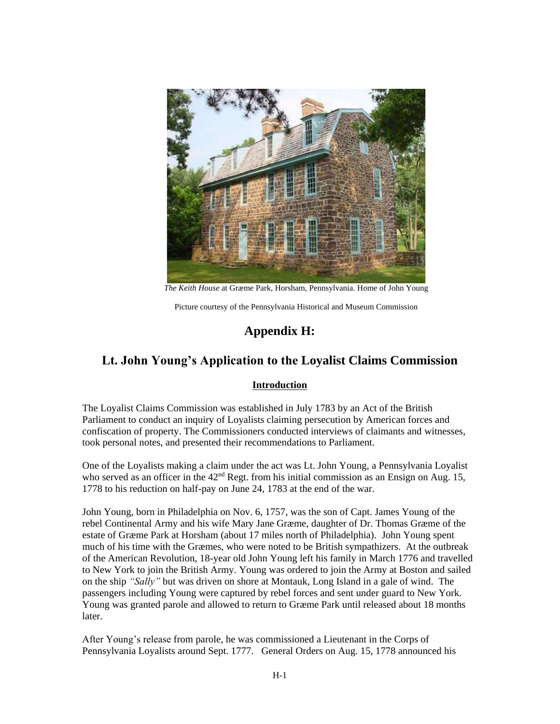

*The Keith House* at Græme Park, Horsham, Pennsylvania. Home of John Young

Picture courtesy of the Pennsylvania Historical and Museum Commission

# **Appendix H:**

## **Lt. John Young's Application to the Loyalist Claims Commission**

## **Introduction**

The Loyalist Claims Commission was established in July 1783 by an Act of the British Parliament to conduct an inquiry of Loyalists claiming persecution by American forces and confiscation of property. The Commissioners conducted interviews of claimants and witnesses, took personal notes, and presented their recommendations to Parliament.

One of the Loyalists making a claim under the act was Lt. John Young, a Pennsylvania Loyalist who served as an officer in the  $42<sup>nd</sup>$  Regt. from his initial commission as an Ensign on Aug. 15, 1778 to his reduction on half-pay on June 24, 1783 at the end of the war.

John Young, born in Philadelphia on Nov. 6, 1757, was the son of Capt. James Young of the rebel Continental Army and his wife Mary Jane Græme, daughter of Dr. Thomas Græme of the estate of Græme Park at Horsham (about 17 miles north of Philadelphia). John Young spent much of his time with the Græmes, who were noted to be British sympathizers. At the outbreak of the American Revolution, 18-year old John Young left his family in March 1776 and travelled to New York to join the British Army. Young was ordered to join the Army at Boston and sailed on the ship *"Sally"* but was driven on shore at Montauk, Long Island in a gale of wind. The passengers including Young were captured by rebel forces and sent under guard to New York. Young was granted parole and allowed to return to Græme Park until released about 18 months later.

After Young's release from parole, he was commissioned a Lieutenant in the Corps of Pennsylvania Loyalists around Sept. 1777. General Orders on Aug. 15, 1778 announced his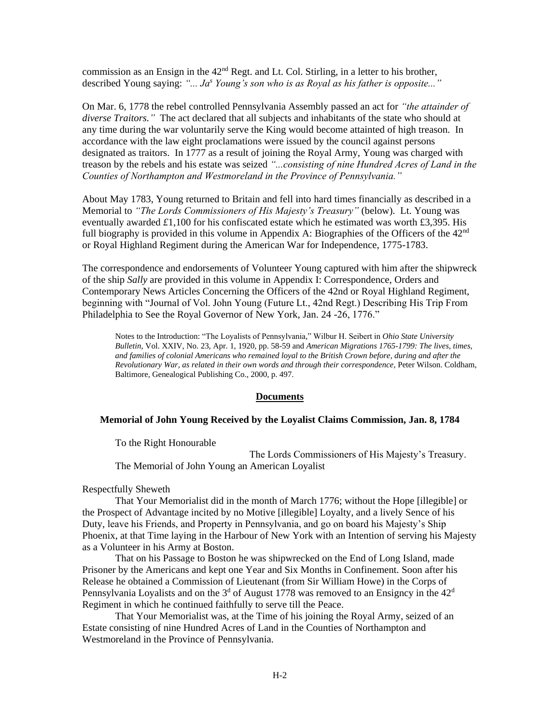commission as an Ensign in the  $42<sup>nd</sup>$  Regt. and Lt. Col. Stirling, in a letter to his brother, described Young saying: *"... Ja<sup>s</sup> Young's son who is as Royal as his father is opposite..."*

On Mar. 6, 1778 the rebel controlled Pennsylvania Assembly passed an act for *"the attainder of diverse Traitors."* The act declared that all subjects and inhabitants of the state who should at any time during the war voluntarily serve the King would become attainted of high treason. In accordance with the law eight proclamations were issued by the council against persons designated as traitors. In 1777 as a result of joining the Royal Army, Young was charged with treason by the rebels and his estate was seized *"...consisting of nine Hundred Acres of Land in the Counties of Northampton and Westmoreland in the Province of Pennsylvania."* 

About May 1783, Young returned to Britain and fell into hard times financially as described in a Memorial to *"The Lords Commissioners of His Majesty's Treasury"* (below). Lt. Young was eventually awarded *£*1,100 for his confiscated estate which he estimated was worth £3,395. His full biography is provided in this volume in Appendix A: Biographies of the Officers of the 42<sup>nd</sup> or Royal Highland Regiment during the American War for Independence, 1775-1783.

The correspondence and endorsements of Volunteer Young captured with him after the shipwreck of the ship *Sally* are provided in this volume in Appendix I: Correspondence, Orders and Contemporary News Articles Concerning the Officers of the 42nd or Royal Highland Regiment, beginning with "Journal of Vol. John Young (Future Lt., 42nd Regt.) Describing His Trip From Philadelphia to See the Royal Governor of New York, Jan. 24 -26, 1776."

Notes to the Introduction: "The Loyalists of Pennsylvania," Wilbur H. Seibert in *Ohio State University Bulletin*, Vol. XXIV, No. 23, Apr. 1, 1920, pp. 58-59 and *American Migrations 1765-1799: The lives, times, and families of colonial Americans who remained loyal to the British Crown before, during and after the Revolutionary War, as related in their own words and through their correspondence*, Peter Wilson. Coldham, Baltimore, Genealogical Publishing Co., 2000, p. 497.

#### **Documents**

#### **Memorial of John Young Received by the Loyalist Claims Commission, Jan. 8, 1784**

To the Right Honourable

The Lords Commissioners of His Majesty's Treasury. The Memorial of John Young an American Loyalist

Respectfully Sheweth

That Your Memorialist did in the month of March 1776; without the Hope [illegible] or the Prospect of Advantage incited by no Motive [illegible] Loyalty, and a lively Sence of his Duty, leave his Friends, and Property in Pennsylvania, and go on board his Majesty's Ship Phoenix, at that Time laying in the Harbour of New York with an Intention of serving his Majesty as a Volunteer in his Army at Boston.

That on his Passage to Boston he was shipwrecked on the End of Long Island, made Prisoner by the Americans and kept one Year and Six Months in Confinement. Soon after his Release he obtained a Commission of Lieutenant (from Sir William Howe) in the Corps of Pennsylvania Loyalists and on the  $3<sup>d</sup>$  of August 1778 was removed to an Ensigncy in the  $42<sup>d</sup>$ Regiment in which he continued faithfully to serve till the Peace.

That Your Memorialist was, at the Time of his joining the Royal Army, seized of an Estate consisting of nine Hundred Acres of Land in the Counties of Northampton and Westmoreland in the Province of Pennsylvania.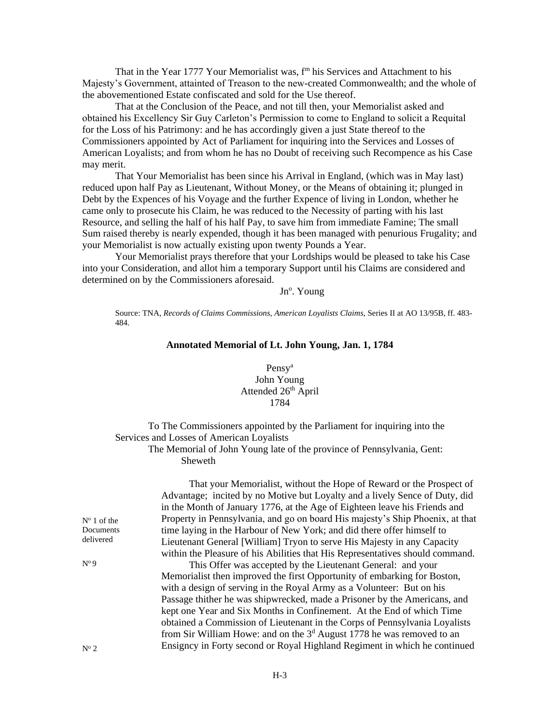That in the Year 1777 Your Memorialist was, f<sup>m</sup> his Services and Attachment to his Majesty's Government, attainted of Treason to the new-created Commonwealth; and the whole of the abovementioned Estate confiscated and sold for the Use thereof.

That at the Conclusion of the Peace, and not till then, your Memorialist asked and obtained his Excellency Sir Guy Carleton's Permission to come to England to solicit a Requital for the Loss of his Patrimony: and he has accordingly given a just State thereof to the Commissioners appointed by Act of Parliament for inquiring into the Services and Losses of American Loyalists; and from whom he has no Doubt of receiving such Recompence as his Case may merit.

That Your Memorialist has been since his Arrival in England, (which was in May last) reduced upon half Pay as Lieutenant, Without Money, or the Means of obtaining it; plunged in Debt by the Expences of his Voyage and the further Expence of living in London, whether he came only to prosecute his Claim, he was reduced to the Necessity of parting with his last Resource, and selling the half of his half Pay, to save him from immediate Famine; The small Sum raised thereby is nearly expended, though it has been managed with penurious Frugality; and your Memorialist is now actually existing upon twenty Pounds a Year.

Your Memorialist prays therefore that your Lordships would be pleased to take his Case into your Consideration, and allot him a temporary Support until his Claims are considered and determined on by the Commissioners aforesaid.

Jn<sup>o</sup>. Young

Source: TNA, *Records of Claims Commissions, American Loyalists Claims*, Series II at AO 13/95B, ff. 483- 484.

#### **Annotated Memorial of Lt. John Young, Jan. 1, 1784**

## Pensy<sup>a</sup> John Young Attended 26<sup>th</sup> April 1784

To The Commissioners appointed by the Parliament for inquiring into the Services and Losses of American Loyalists

## The Memorial of John Young late of the province of Pennsylvania, Gent: Sheweth

 That your Memorialist, without the Hope of Reward or the Prospect of Advantage; incited by no Motive but Loyalty and a lively Sence of Duty, did in the Month of January 1776, at the Age of Eighteen leave his Friends and Property in Pennsylvania, and go on board His majesty's Ship Phoenix, at that time laying in the Harbour of New York; and did there offer himself to Lieutenant General [William] Tryon to serve His Majesty in any Capacity within the Pleasure of his Abilities that His Representatives should command.

 This Offer was accepted by the Lieutenant General: and your Memorialist then improved the first Opportunity of embarking for Boston, with a design of serving in the Royal Army as a Volunteer: But on his Passage thither he was shipwrecked, made a Prisoner by the Americans, and kept one Year and Six Months in Confinement. At the End of which Time obtained a Commission of Lieutenant in the Corps of Pennsylvania Loyalists from Sir William Howe: and on the  $3<sup>d</sup>$  August 1778 he was removed to an Ensigncy in Forty second or Royal Highland Regiment in which he continued

 $N<sup>o</sup> 1$  of the Documents delivered

N<sup>o</sup>9

 $N^{\circ}$  2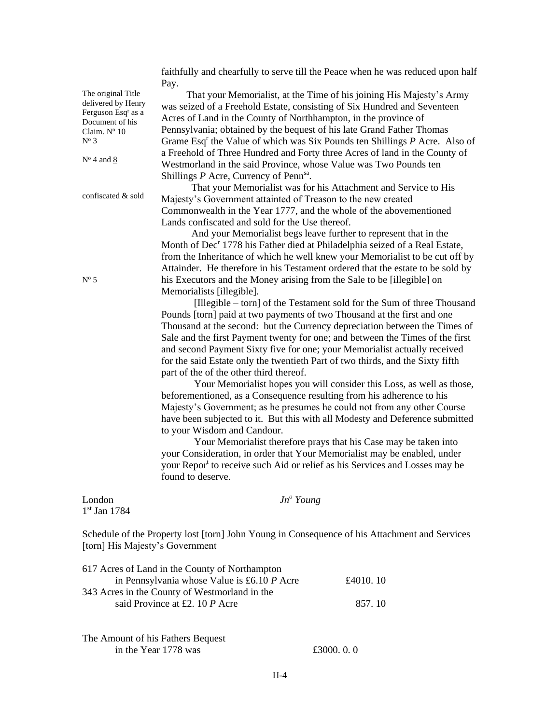faithfully and chearfully to serve till the Peace when he was reduced upon half Pay.

 That your Memorialist, at the Time of his joining His Majesty's Army was seized of a Freehold Estate, consisting of Six Hundred and Seventeen Acres of Land in the County of Northhampton, in the province of Pennsylvania; obtained by the bequest of his late Grand Father Thomas Grame Esq<sup>r</sup> the Value of which was Six Pounds ten Shillings *P* Acre. Also of a Freehold of Three Hundred and Forty three Acres of land in the County of Westmorland in the said Province, whose Value was Two Pounds ten Shillings P Acre, Currency of Penn<sup>sa</sup>.

 That your Memorialist was for his Attachment and Service to His Majesty's Government attainted of Treason to the new created Commonwealth in the Year 1777, and the whole of the abovementioned Lands confiscated and sold for the Use thereof.

 And your Memorialist begs leave further to represent that in the Month of Dec<sup>r</sup> 1778 his Father died at Philadelphia seized of a Real Estate, from the Inheritance of which he well knew your Memorialist to be cut off by Attainder. He therefore in his Testament ordered that the estate to be sold by his Executors and the Money arising from the Sale to be [illegible] on Memorialists [illegible].

 [Illegible – torn] of the Testament sold for the Sum of three Thousand Pounds [torn] paid at two payments of two Thousand at the first and one Thousand at the second: but the Currency depreciation between the Times of Sale and the first Payment twenty for one; and between the Times of the first and second Payment Sixty five for one; your Memorialist actually received for the said Estate only the twentieth Part of two thirds, and the Sixty fifth part of the of the other third thereof.

Your Memorialist hopes you will consider this Loss, as well as those, beforementioned, as a Consequence resulting from his adherence to his Majesty's Government; as he presumes he could not from any other Course have been subjected to it. But this with all Modesty and Deference submitted to your Wisdom and Candour.

Your Memorialist therefore prays that his Case may be taken into your Consideration, in order that Your Memorialist may be enabled, under your Repor<sup>t</sup> to receive such Aid or relief as his Services and Losses may be found to deserve.

London *Jn<sup>o</sup> Young* 1 st Jan 1784

Schedule of the Property lost [torn] John Young in Consequence of his Attachment and Services [torn] His Majesty's Government

| 617 Acres of Land in the County of Northampton |          |
|------------------------------------------------|----------|
| in Pennsylvania whose Value is £6.10 P Acre    | £4010.10 |
| 343 Acres in the County of Westmorland in the  |          |
| said Province at £2, 10 P Acre                 | 857.10   |
|                                                |          |
|                                                |          |

The Amount of his Fathers Bequest in the Year 1778 was  $£3000, 0, 0$ 

 $N^{\circ}$  5

The original Title delivered by Henry Ferguson Esq<sup>r</sup> as a Document of his Claim.  $N^{\circ}$  10  $N^{\circ}$  3

 $N<sup>o</sup>$  4 and 8

confiscated & sold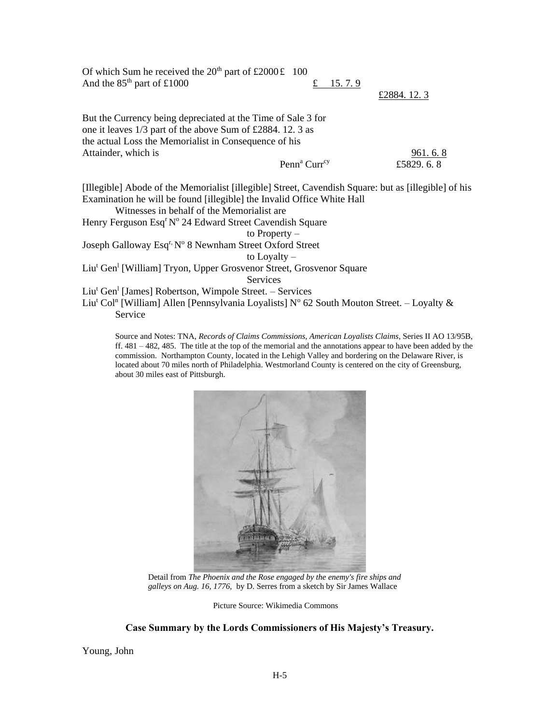Of which Sum he received the  $20^{th}$  part of £2000£ 100 And the  $85<sup>th</sup>$  part of £1000  $\qquad \qquad$  £ 15. 7. 9 £2884. 12. 3 But the Currency being depreciated at the Time of Sale 3 for one it leaves 1/3 part of the above Sum of £2884. 12. 3 as the actual Loss the Memorialist in Consequence of his Attainder, which is 961.6.8 Penn<sup>a</sup> Curr<sup>cy</sup> £5829. 6. 8 [Illegible] Abode of the Memorialist [illegible] Street, Cavendish Square: but as [illegible] of his Examination he will be found [illegible] the Invalid Office White Hall Witnesses in behalf of the Memorialist are Henry Ferguson Esq<sup>r</sup> Nº 24 Edward Street Cavendish Square to Property – Joseph Galloway Esq<sup>r,</sup> Nº 8 Newnham Street Oxford Street to Loyalty – Liu<sup>t</sup> Gen<sup>l</sup> [William] Tryon, Upper Grosvenor Street, Grosvenor Square **Services** Liu<sup>t</sup> Gen<sup>1</sup> [James] Robertson, Wimpole Street. - Services Liu<sup>t</sup> Col<sup>n</sup> [William] Allen [Pennsylvania Loyalists] N° 62 South Mouton Street. – Loyalty &

Service

Source and Notes: TNA, *Records of Claims Commissions, American Loyalists Claims*, Series II AO 13/95B, ff. 481 – 482, 485. The title at the top of the memorial and the annotations appear to have been added by the commission. Northampton County, located in the Lehigh Valley and bordering on the Delaware River, is located about 70 miles north of Philadelphia. Westmorland County is centered on the city of Greensburg, about 30 miles east of Pittsburgh.



Detail from *The Phoenix and the Rose engaged by the enemy's fire ships and galleys on Aug. 16, 1776*, by D. Serres from a sketch by Sir James Wallace

Picture Source: Wikimedia Commons

## **Case Summary by the Lords Commissioners of His Majesty's Treasury.**

Young, John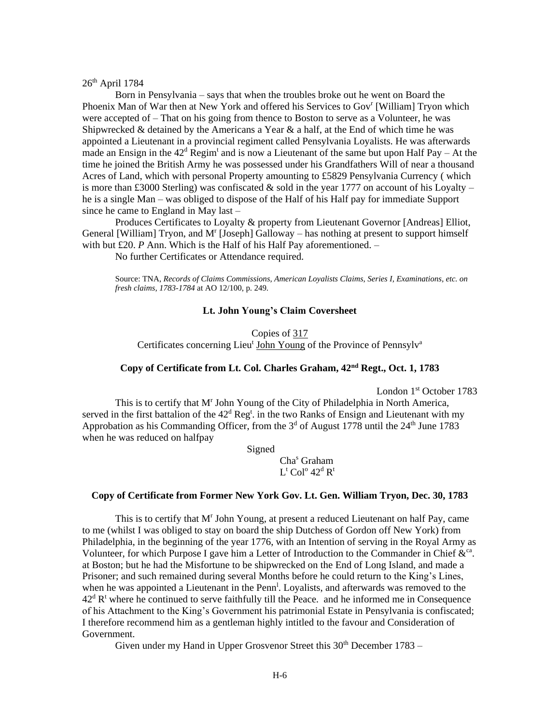$26<sup>th</sup>$  April 1784

Born in Pensylvania – says that when the troubles broke out he went on Board the Phoenix Man of War then at New York and offered his Services to Gov<sup>r</sup> [William] Tryon which were accepted of – That on his going from thence to Boston to serve as a Volunteer, he was Shipwrecked & detained by the Americans a Year  $\&$  a half, at the End of which time he was appointed a Lieutenant in a provincial regiment called Pensylvania Loyalists. He was afterwards made an Ensign in the  $42^d$  Regim<sup>t</sup> and is now a Lieutenant of the same but upon Half Pay – At the time he joined the British Army he was possessed under his Grandfathers Will of near a thousand Acres of Land, which with personal Property amounting to £5829 Pensylvania Currency ( which is more than £3000 Sterling) was confiscated & sold in the year 1777 on account of his Loyalty – he is a single Man – was obliged to dispose of the Half of his Half pay for immediate Support since he came to England in May last –

Produces Certificates to Loyalty & property from Lieutenant Governor [Andreas] Elliot, General [William] Tryon, and  $M<sup>r</sup>$  [Joseph] Galloway – has nothing at present to support himself with but £20. *P* Ann. Which is the Half of his Half Pay aforementioned. –

No further Certificates or Attendance required.

Source: TNA, *Records of Claims Commissions, American Loyalists Claims, Series I, Examinations, etc. on fresh claims, 1783-1784* at AO 12/100, p. 249.

#### **Lt. John Young's Claim Coversheet**

Copies of 317 Certificates concerning Lieu<sup>t</sup> John Young of the Province of Pennsylv<sup>a</sup>

## **Copy of Certificate from Lt. Col. Charles Graham, 42nd Regt., Oct. 1, 1783**

London 1<sup>st</sup> October 1783

This is to certify that M<sup>r</sup> John Young of the City of Philadelphia in North America, served in the first battalion of the  $42<sup>d</sup>$  Reg<sup>t</sup>. in the two Ranks of Ensign and Lieutenant with my Approbation as his Commanding Officer, from the  $3<sup>d</sup>$  of August 1778 until the  $24<sup>th</sup>$  June 1783 when he was reduced on halfpay

Signed

Cha<sup>s</sup> Graham  $L^{\text{t}}$  Col<sup>o</sup> 42<sup>d</sup> R<sup>t</sup>

## **Copy of Certificate from Former New York Gov. Lt. Gen. William Tryon, Dec. 30, 1783**

This is to certify that M<sup>r</sup> John Young, at present a reduced Lieutenant on half Pay, came to me (whilst I was obliged to stay on board the ship Dutchess of Gordon off New York) from Philadelphia, in the beginning of the year 1776, with an Intention of serving in the Royal Army as Volunteer, for which Purpose I gave him a Letter of Introduction to the Commander in Chief  $\&^{\text{ca}}$ . at Boston; but he had the Misfortune to be shipwrecked on the End of Long Island, and made a Prisoner; and such remained during several Months before he could return to the King's Lines, when he was appointed a Lieutenant in the  $Penn^1$ . Loyalists, and afterwards was removed to the  $42<sup>d</sup>$  R<sup>t</sup> where he continued to serve faithfully till the Peace. and he informed me in Consequence of his Attachment to the King's Government his patrimonial Estate in Pensylvania is confiscated; I therefore recommend him as a gentleman highly intitled to the favour and Consideration of Government.

Given under my Hand in Upper Grosvenor Street this  $30<sup>th</sup>$  December  $1783 -$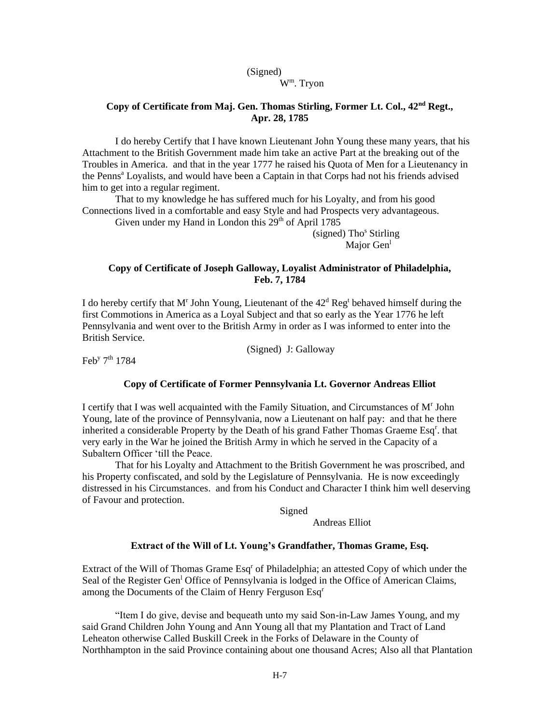#### (Signed) W<sup>m</sup> . Tryon

## **Copy of Certificate from Maj. Gen. Thomas Stirling, Former Lt. Col., 42nd Regt., Apr. 28, 1785**

I do hereby Certify that I have known Lieutenant John Young these many years, that his Attachment to the British Government made him take an active Part at the breaking out of the Troubles in America. and that in the year 1777 he raised his Quota of Men for a Lieutenancy in the Penns<sup>a</sup> Loyalists, and would have been a Captain in that Corps had not his friends advised him to get into a regular regiment.

That to my knowledge he has suffered much for his Loyalty, and from his good Connections lived in a comfortable and easy Style and had Prospects very advantageous.

Given under my Hand in London this  $29<sup>th</sup>$  of April 1785

 $(signed)$  Tho<sup>s</sup> Stirling Major Gen<sup>1</sup>

## **Copy of Certificate of Joseph Galloway, Loyalist Administrator of Philadelphia, Feb. 7, 1784**

I do hereby certify that M<sup>r</sup> John Young, Lieutenant of the  $42<sup>d</sup>$  Reg<sup>t</sup> behaved himself during the first Commotions in America as a Loyal Subject and that so early as the Year 1776 he left Pennsylvania and went over to the British Army in order as I was informed to enter into the British Service.

(Signed) J: Galloway

Feb<sup>y</sup> 7<sup>th</sup> 1784

## **Copy of Certificate of Former Pennsylvania Lt. Governor Andreas Elliot**

I certify that I was well acquainted with the Family Situation, and Circumstances of M<sup>r</sup> John Young, late of the province of Pennsylvania, now a Lieutenant on half pay: and that he there inherited a considerable Property by the Death of his grand Father Thomas Graeme Esq<sup>r</sup>. that very early in the War he joined the British Army in which he served in the Capacity of a Subaltern Officer 'till the Peace.

That for his Loyalty and Attachment to the British Government he was proscribed, and his Property confiscated, and sold by the Legislature of Pennsylvania. He is now exceedingly distressed in his Circumstances. and from his Conduct and Character I think him well deserving of Favour and protection.

Signed

Andreas Elliot

#### **Extract of the Will of Lt. Young's Grandfather, Thomas Grame, Esq.**

Extract of the Will of Thomas Grame Esq<sup>r</sup> of Philadelphia; an attested Copy of which under the Seal of the Register Gen<sup>1</sup> Office of Pennsylvania is lodged in the Office of American Claims, among the Documents of the Claim of Henry Ferguson Esq<sup>r</sup>

"Item I do give, devise and bequeath unto my said Son-in-Law James Young, and my said Grand Children John Young and Ann Young all that my Plantation and Tract of Land Leheaton otherwise Called Buskill Creek in the Forks of Delaware in the County of Northhampton in the said Province containing about one thousand Acres; Also all that Plantation